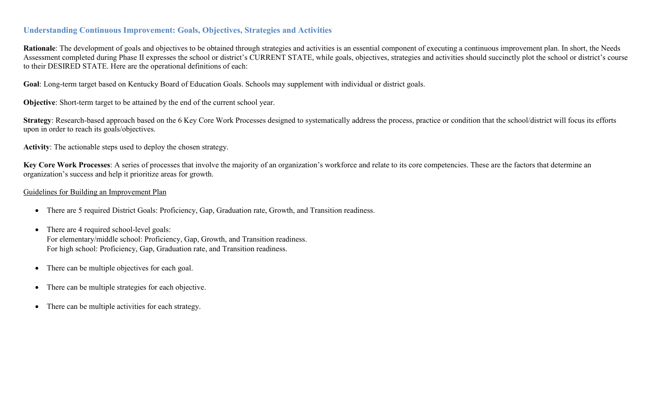## **Understanding Continuous Improvement: Goals, Objectives, Strategies and Activities**

Rationale: The development of goals and objectives to be obtained through strategies and activities is an essential component of executing a continuous improvement plan. In short, the Needs Assessment completed during Phase II expresses the school or district's CURRENT STATE, while goals, objectives, strategies and activities should succinctly plot the school or district's course to their DESIRED STATE. Here are the operational definitions of each:

**Goal**: Long-term target based on Kentucky Board of Education Goals. Schools may supplement with individual or district goals.

**Objective**: Short-term target to be attained by the end of the current school year.

Strategy: Research-based approach based on the 6 Key Core Work Processes designed to systematically address the process, practice or condition that the school/district will focus its efforts upon in order to reach its goals/objectives.

**Activity**: The actionable steps used to deploy the chosen strategy.

**Key Core Work Processes**: A series of processes that involve the majority of an organization's workforce and relate to its core competencies. These are the factors that determine an organization's success and help it prioritize areas for growth.

#### Guidelines for Building an Improvement Plan

- There are 5 required District Goals: Proficiency, Gap, Graduation rate, Growth, and Transition readiness.
- There are 4 required school-level goals: For elementary/middle school: Proficiency, Gap, Growth, and Transition readiness. For high school: Proficiency, Gap, Graduation rate, and Transition readiness.
- There can be multiple objectives for each goal.
- There can be multiple strategies for each objective.
- There can be multiple activities for each strategy.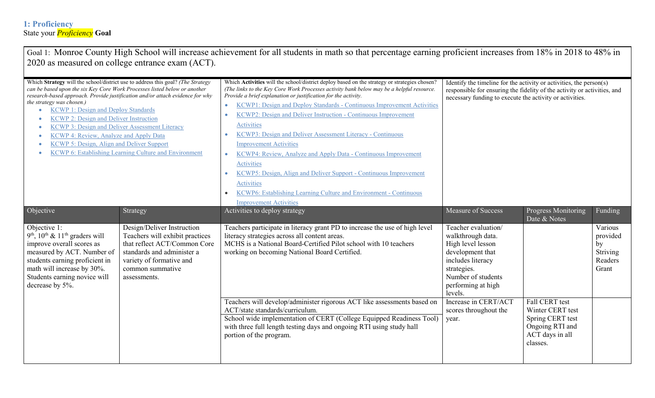| Goal 1: Monroe County High School will increase achievement for all students in math so that percentage earning proficient increases from 18% in 2018 to 48% in<br>2020 as measured on college entrance exam (ACT).                                                                                                                                                                                                                                   |                                                                                                                                                                                             |                                                                                                                                                                                                                                                                                                                                                                                                                                                                                                                                                                                                                                                                                                                                                                                                                        |                                                                                                                                                                                                             |                                                                                                          |                                                           |  |  |
|-------------------------------------------------------------------------------------------------------------------------------------------------------------------------------------------------------------------------------------------------------------------------------------------------------------------------------------------------------------------------------------------------------------------------------------------------------|---------------------------------------------------------------------------------------------------------------------------------------------------------------------------------------------|------------------------------------------------------------------------------------------------------------------------------------------------------------------------------------------------------------------------------------------------------------------------------------------------------------------------------------------------------------------------------------------------------------------------------------------------------------------------------------------------------------------------------------------------------------------------------------------------------------------------------------------------------------------------------------------------------------------------------------------------------------------------------------------------------------------------|-------------------------------------------------------------------------------------------------------------------------------------------------------------------------------------------------------------|----------------------------------------------------------------------------------------------------------|-----------------------------------------------------------|--|--|
| Which Strategy will the school/district use to address this goal? (The Strategy<br>can be based upon the six Key Core Work Processes listed below or another<br>the strategy was chosen.)<br><b>KCWP 1: Design and Deploy Standards</b><br>$\bullet$<br><b>KCWP 2: Design and Deliver Instruction</b><br>KCWP 3: Design and Deliver Assessment Literacy<br><b>KCWP 4: Review, Analyze and Apply Data</b><br>KCWP 5: Design, Align and Deliver Support | research-based approach. Provide justification and/or attach evidence for why<br><b>KCWP 6: Establishing Learning Culture and Environment</b>                                               | Which Activities will the school/district deploy based on the strategy or strategies chosen?<br>(The links to the Key Core Work Processes activity bank below may be a helpful resource.<br>Provide a brief explanation or justification for the activity.<br>KCWP1: Design and Deploy Standards - Continuous Improvement Activities<br>$\bullet$<br>KCWP2: Design and Deliver Instruction - Continuous Improvement<br>Activities<br>KCWP3: Design and Deliver Assessment Literacy - Continuous<br><b>Improvement Activities</b><br>KCWP4: Review, Analyze and Apply Data - Continuous Improvement<br>$\bullet$<br>Activities<br>KCWP5: Design, Align and Deliver Support - Continuous Improvement<br>Activities<br>KCWP6: Establishing Learning Culture and Environment - Continuous<br><b>Improvement Activities</b> | Identify the timeline for the activity or activities, the person(s)<br>responsible for ensuring the fidelity of the activity or activities, and<br>necessary funding to execute the activity or activities. |                                                                                                          |                                                           |  |  |
| Objective                                                                                                                                                                                                                                                                                                                                                                                                                                             | Strategy                                                                                                                                                                                    | Activities to deploy strategy                                                                                                                                                                                                                                                                                                                                                                                                                                                                                                                                                                                                                                                                                                                                                                                          | Measure of Success                                                                                                                                                                                          | Progress Monitoring<br>Date & Notes                                                                      | Funding                                                   |  |  |
| Objective 1:<br>9 <sup>th</sup> , $10^{th}$ & $11^{th}$ graders will<br>improve overall scores as<br>measured by ACT. Number of<br>students earning proficient in<br>math will increase by 30%.<br>Students earning novice will<br>decrease by 5%.                                                                                                                                                                                                    | Design/Deliver Instruction<br>Teachers will exhibit practices<br>that reflect ACT/Common Core<br>standards and administer a<br>variety of formative and<br>common summative<br>assessments. | Teachers participate in literacy grant PD to increase the use of high level<br>literacy strategies across all content areas.<br>MCHS is a National Board-Certified Pilot school with 10 teachers<br>working on becoming National Board Certified.                                                                                                                                                                                                                                                                                                                                                                                                                                                                                                                                                                      | Teacher evaluation/<br>walkthrough data.<br>High level lesson<br>development that<br>includes literacy<br>strategies.<br>Number of students<br>performing at high<br>levels.                                |                                                                                                          | Various<br>provided<br>by<br>Striving<br>Readers<br>Grant |  |  |
|                                                                                                                                                                                                                                                                                                                                                                                                                                                       |                                                                                                                                                                                             | Teachers will develop/administer rigorous ACT like assessments based on<br>ACT/state standards/curriculum.<br>School wide implementation of CERT (College Equipped Readiness Tool)<br>with three full length testing days and ongoing RTI using study hall<br>portion of the program.                                                                                                                                                                                                                                                                                                                                                                                                                                                                                                                                  | Increase in CERT/ACT<br>scores throughout the<br>year.                                                                                                                                                      | Fall CERT test<br>Winter CERT test<br>Spring CERT test<br>Ongoing RTI and<br>ACT days in all<br>classes. |                                                           |  |  |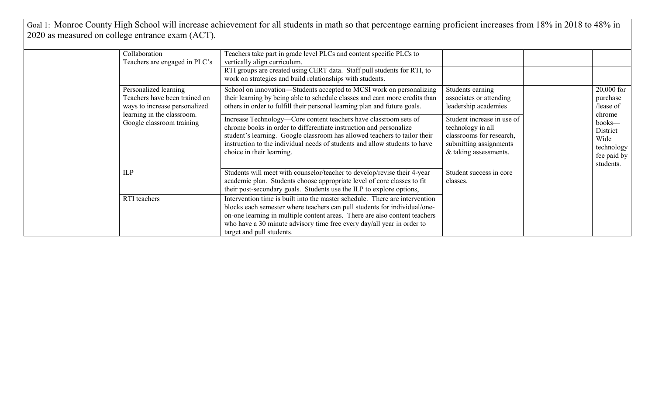Goal 1: Monroe County High School will increase achievement for all students in math so that percentage earning proficient increases from 18% in 2018 to 48% in 2020 as measured on college entrance exam (ACT).

| Collaboration<br>Teachers are engaged in PLC's                                          | Teachers take part in grade level PLCs and content specific PLCs to<br>vertically align curriculum.<br>RTI groups are created using CERT data. Staff pull students for RTI, to<br>work on strategies and build relationships with students.                                                                                                   |                                                                                                                                |                                                                                |
|-----------------------------------------------------------------------------------------|-----------------------------------------------------------------------------------------------------------------------------------------------------------------------------------------------------------------------------------------------------------------------------------------------------------------------------------------------|--------------------------------------------------------------------------------------------------------------------------------|--------------------------------------------------------------------------------|
| Personalized learning<br>Teachers have been trained on<br>ways to increase personalized | School on innovation-Students accepted to MCSI work on personalizing<br>their learning by being able to schedule classes and earn more credits than<br>others in order to fulfill their personal learning plan and future goals.                                                                                                              | Students earning<br>associates or attending<br>leadership academies                                                            | 20,000 for<br>purchase<br>/lease of                                            |
| learning in the classroom.<br>Google classroom training                                 | Increase Technology-Core content teachers have classroom sets of<br>chrome books in order to differentiate instruction and personalize<br>student's learning. Google classroom has allowed teachers to tailor their<br>instruction to the individual needs of students and allow students to have<br>choice in their learning.                | Student increase in use of<br>technology in all<br>classrooms for research,<br>submitting assignments<br>& taking assessments. | chrome<br>books—<br>District<br>Wide<br>technology<br>fee paid by<br>students. |
| <b>ILP</b>                                                                              | Students will meet with counselor/teacher to develop/revise their 4-year<br>academic plan. Students choose appropriate level of core classes to fit<br>their post-secondary goals. Students use the ILP to explore options,                                                                                                                   | Student success in core<br>classes.                                                                                            |                                                                                |
| RTI teachers                                                                            | Intervention time is built into the master schedule. There are intervention<br>blocks each semester where teachers can pull students for individual/one-<br>on-one learning in multiple content areas. There are also content teachers<br>who have a 30 minute advisory time free every day/all year in order to<br>target and pull students. |                                                                                                                                |                                                                                |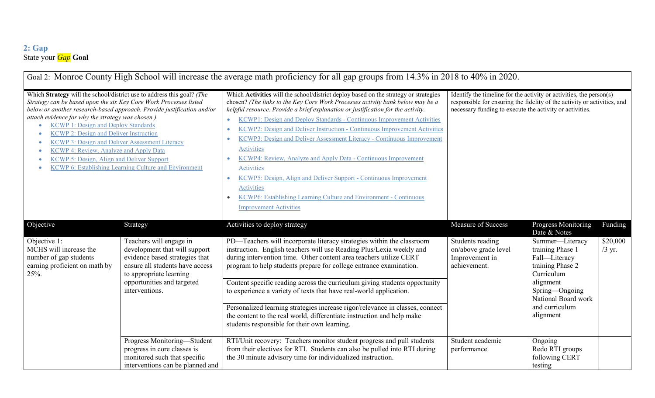### **2: Gap** State your *Gap* **Goal**

| Goal 2: Monroe County High School will increase the average math proficiency for all gap groups from 14.3% in 2018 to 40% in 2020.                                                                                                                                                                                                                                                                                                                                                                                                                                                 |                                                                                                                                                                                                                      |                                                                                                                                                                                                                                                                                                                                                                                                                                                                                                                                                                                                                                                                                                                                                                                                                                                                  |                                                                                                                                                                                                             |                                                                                                                                                                                                                    |                                 |  |
|------------------------------------------------------------------------------------------------------------------------------------------------------------------------------------------------------------------------------------------------------------------------------------------------------------------------------------------------------------------------------------------------------------------------------------------------------------------------------------------------------------------------------------------------------------------------------------|----------------------------------------------------------------------------------------------------------------------------------------------------------------------------------------------------------------------|------------------------------------------------------------------------------------------------------------------------------------------------------------------------------------------------------------------------------------------------------------------------------------------------------------------------------------------------------------------------------------------------------------------------------------------------------------------------------------------------------------------------------------------------------------------------------------------------------------------------------------------------------------------------------------------------------------------------------------------------------------------------------------------------------------------------------------------------------------------|-------------------------------------------------------------------------------------------------------------------------------------------------------------------------------------------------------------|--------------------------------------------------------------------------------------------------------------------------------------------------------------------------------------------------------------------|---------------------------------|--|
| Which Strategy will the school/district use to address this goal? (The<br>Strategy can be based upon the six Key Core Work Processes listed<br>below or another research-based approach. Provide justification and/or<br>attach evidence for why the strategy was chosen.)<br><b>KCWP 1: Design and Deploy Standards</b><br><b>KCWP 2: Design and Deliver Instruction</b><br>KCWP 3: Design and Deliver Assessment Literacy<br>KCWP 4: Review, Analyze and Apply Data<br>KCWP 5: Design, Align and Deliver Support<br><b>KCWP 6: Establishing Learning Culture and Environment</b> |                                                                                                                                                                                                                      | Which Activities will the school/district deploy based on the strategy or strategies<br>chosen? (The links to the Key Core Work Processes activity bank below may be a<br>helpful resource. Provide a brief explanation or justification for the activity.<br><b>KCWP1: Design and Deploy Standards - Continuous Improvement Activities</b><br>$\bullet$<br>KCWP2: Design and Deliver Instruction - Continuous Improvement Activities<br>$\bullet$<br>KCWP3: Design and Deliver Assessment Literacy - Continuous Improvement<br>٠<br><b>Activities</b><br>KCWP4: Review, Analyze and Apply Data - Continuous Improvement<br>$\bullet$<br><b>Activities</b><br>KCWP5: Design, Align and Deliver Support - Continuous Improvement<br>$\bullet$<br>Activities<br>KCWP6: Establishing Learning Culture and Environment - Continuous<br><b>Improvement Activities</b> | Identify the timeline for the activity or activities, the person(s)<br>responsible for ensuring the fidelity of the activity or activities, and<br>necessary funding to execute the activity or activities. |                                                                                                                                                                                                                    |                                 |  |
| Objective<br>Objective 1:<br>MCHS will increase the<br>number of gap students<br>earning proficient on math by<br>25%.                                                                                                                                                                                                                                                                                                                                                                                                                                                             | Strategy<br>Teachers will engage in<br>development that will support<br>evidence based strategies that<br>ensure all students have access<br>to appropriate learning<br>opportunities and targeted<br>interventions. | Activities to deploy strategy<br>PD-Teachers will incorporate literacy strategies within the classroom<br>instruction. English teachers will use Reading Plus/Lexia weekly and<br>during intervention time. Other content area teachers utilize CERT<br>program to help students prepare for college entrance examination.<br>Content specific reading across the curriculum giving students opportunity<br>to experience a variety of texts that have real-world application.<br>Personalized learning strategies increase rigor/relevance in classes, connect<br>the content to the real world, differentiate instruction and help make<br>students responsible for their own learning.                                                                                                                                                                        | Measure of Success<br>Students reading<br>on/above grade level<br>Improvement in<br>achievement.                                                                                                            | Progress Monitoring<br>Date & Notes<br>Summer-Literacy<br>training Phase 1<br>Fall-Literacy<br>training Phase 2<br>Curriculum<br>alignment<br>Spring-Ongoing<br>National Board work<br>and curriculum<br>alignment | Funding<br>\$20,000<br>$/3$ yr. |  |
|                                                                                                                                                                                                                                                                                                                                                                                                                                                                                                                                                                                    | Progress Monitoring-Student<br>progress in core classes is<br>monitored such that specific<br>interventions can be planned and                                                                                       | RTI/Unit recovery: Teachers monitor student progress and pull students<br>from their electives for RTI. Students can also be pulled into RTI during<br>the 30 minute advisory time for individualized instruction.                                                                                                                                                                                                                                                                                                                                                                                                                                                                                                                                                                                                                                               | Student academic<br>performance.                                                                                                                                                                            | Ongoing<br>Redo RTI groups<br>following CERT<br>testing                                                                                                                                                            |                                 |  |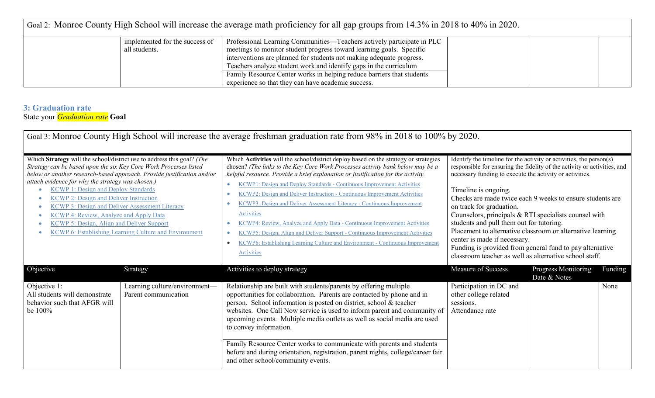| Goal 2: Monroe County High School will increase the average math proficiency for all gap groups from 14.3% in 2018 to 40% in 2020. |                                |                                                                        |  |  |  |
|------------------------------------------------------------------------------------------------------------------------------------|--------------------------------|------------------------------------------------------------------------|--|--|--|
|                                                                                                                                    | implemented for the success of | Professional Learning Communities—Teachers actively participate in PLC |  |  |  |
|                                                                                                                                    | all students.                  | meetings to monitor student progress toward learning goals. Specific   |  |  |  |
|                                                                                                                                    |                                | interventions are planned for students not making adequate progress.   |  |  |  |
|                                                                                                                                    |                                | Teachers analyze student work and identify gaps in the curriculum      |  |  |  |
|                                                                                                                                    |                                | Family Resource Center works in helping reduce barriers that students  |  |  |  |
|                                                                                                                                    |                                | experience so that they can have academic success.                     |  |  |  |

### **3: Graduation rate** State your *Graduation rate* **Goal**

|                                                                                                                                                                                                                                                                                                                                                                                                                                                                                                                                                                                                         |                                                       | Goal 3: Monroe County High School will increase the average freshman graduation rate from 98% in 2018 to 100% by 2020.                                                                                                                                                                                                                                                                                                                                                                                                                                                                                                                                                                                                                                                                                                                 |                                                                                                                                                                                                                                                                                                                                                                                                                                                                                                                                                                                                                                                       |                                     |         |
|---------------------------------------------------------------------------------------------------------------------------------------------------------------------------------------------------------------------------------------------------------------------------------------------------------------------------------------------------------------------------------------------------------------------------------------------------------------------------------------------------------------------------------------------------------------------------------------------------------|-------------------------------------------------------|----------------------------------------------------------------------------------------------------------------------------------------------------------------------------------------------------------------------------------------------------------------------------------------------------------------------------------------------------------------------------------------------------------------------------------------------------------------------------------------------------------------------------------------------------------------------------------------------------------------------------------------------------------------------------------------------------------------------------------------------------------------------------------------------------------------------------------------|-------------------------------------------------------------------------------------------------------------------------------------------------------------------------------------------------------------------------------------------------------------------------------------------------------------------------------------------------------------------------------------------------------------------------------------------------------------------------------------------------------------------------------------------------------------------------------------------------------------------------------------------------------|-------------------------------------|---------|
| Which Strategy will the school/district use to address this goal? (The<br>Strategy can be based upon the six Key Core Work Processes listed<br>below or another research-based approach. Provide justification and/or<br>attach evidence for why the strategy was chosen.)<br><b>KCWP 1: Design and Deploy Standards</b><br><b>KCWP 2: Design and Deliver Instruction</b><br><b>KCWP 3: Design and Deliver Assessment Literacy</b><br><b>KCWP 4: Review, Analyze and Apply Data</b><br><b>KCWP 5: Design, Align and Deliver Support</b><br><b>KCWP 6: Establishing Learning Culture and Environment</b> |                                                       | Which Activities will the school/district deploy based on the strategy or strategies<br>chosen? (The links to the Key Core Work Processes activity bank below may be a<br>helpful resource. Provide a brief explanation or justification for the activity.<br>KCWP1: Design and Deploy Standards - Continuous Improvement Activities<br>$\bullet$<br>KCWP2: Design and Deliver Instruction - Continuous Improvement Activities<br>$\bullet$<br>KCWP3: Design and Deliver Assessment Literacy - Continuous Improvement<br>$\bullet$<br>Activities<br>KCWP4: Review, Analyze and Apply Data - Continuous Improvement Activities<br>KCWP5: Design, Align and Deliver Support - Continuous Improvement Activities<br>$\bullet$<br>KCWP6: Establishing Learning Culture and Environment - Continuous Improvement<br>$\bullet$<br>Activities | Identify the timeline for the activity or activities, the person(s)<br>responsible for ensuring the fidelity of the activity or activities, and<br>necessary funding to execute the activity or activities.<br>Timeline is ongoing.<br>Checks are made twice each 9 weeks to ensure students are<br>on track for graduation.<br>Counselors, principals & RTI specialists counsel with<br>students and pull them out for tutoring.<br>Placement to alternative classroom or alternative learning<br>center is made if necessary.<br>Funding is provided from general fund to pay alternative<br>classroom teacher as well as alternative school staff. |                                     |         |
| Objective                                                                                                                                                                                                                                                                                                                                                                                                                                                                                                                                                                                               | Strategy                                              | Activities to deploy strategy                                                                                                                                                                                                                                                                                                                                                                                                                                                                                                                                                                                                                                                                                                                                                                                                          | Measure of Success                                                                                                                                                                                                                                                                                                                                                                                                                                                                                                                                                                                                                                    | Progress Monitoring<br>Date & Notes | Funding |
| Objective 1:<br>All students will demonstrate<br>behavior such that AFGR will<br>be 100%                                                                                                                                                                                                                                                                                                                                                                                                                                                                                                                | Learning culture/environment-<br>Parent communication | Relationship are built with students/parents by offering multiple<br>opportunities for collaboration. Parents are contacted by phone and in<br>person. School information is posted on district, school & teacher<br>websites. One Call Now service is used to inform parent and community of<br>upcoming events. Multiple media outlets as well as social media are used<br>to convey information.<br>Family Resource Center works to communicate with parents and students<br>before and during orientation, registration, parent nights, college/career fair<br>and other school/community events.                                                                                                                                                                                                                                  | Participation in DC and<br>other college related<br>sessions.<br>Attendance rate                                                                                                                                                                                                                                                                                                                                                                                                                                                                                                                                                                      |                                     | None    |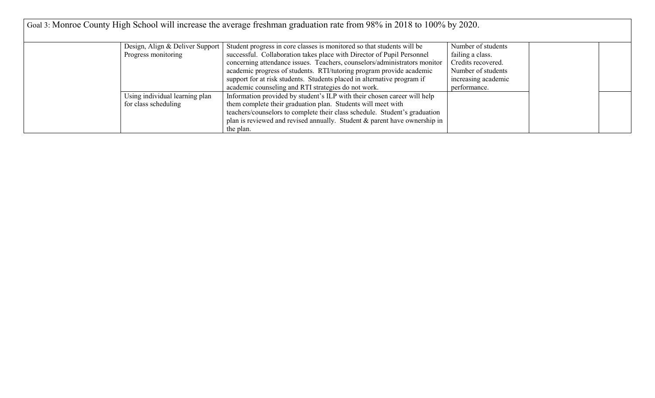| Goal 3: Monroe County High School will increase the average freshman graduation rate from 98% in 2018 to 100% by 2020. |                                                        |                                                                                                                                                                                                                                                                                                                                                                                                                                         |                                                                                                                           |  |
|------------------------------------------------------------------------------------------------------------------------|--------------------------------------------------------|-----------------------------------------------------------------------------------------------------------------------------------------------------------------------------------------------------------------------------------------------------------------------------------------------------------------------------------------------------------------------------------------------------------------------------------------|---------------------------------------------------------------------------------------------------------------------------|--|
|                                                                                                                        | Design, Align & Deliver Support<br>Progress monitoring | Student progress in core classes is monitored so that students will be<br>successful. Collaboration takes place with Director of Pupil Personnel<br>concerning attendance issues. Teachers, counselors/administrators monitor<br>academic progress of students. RTI/tutoring program provide academic<br>support for at risk students. Students placed in alternative program if<br>academic counseling and RTI strategies do not work. | Number of students<br>failing a class.<br>Credits recovered.<br>Number of students<br>increasing academic<br>performance. |  |
|                                                                                                                        | Using individual learning plan<br>for class scheduling | Information provided by student's ILP with their chosen career will help<br>them complete their graduation plan. Students will meet with<br>teachers/counselors to complete their class schedule. Student's graduation<br>plan is reviewed and revised annually. Student $\&$ parent have ownership in<br>the plan.                                                                                                                     |                                                                                                                           |  |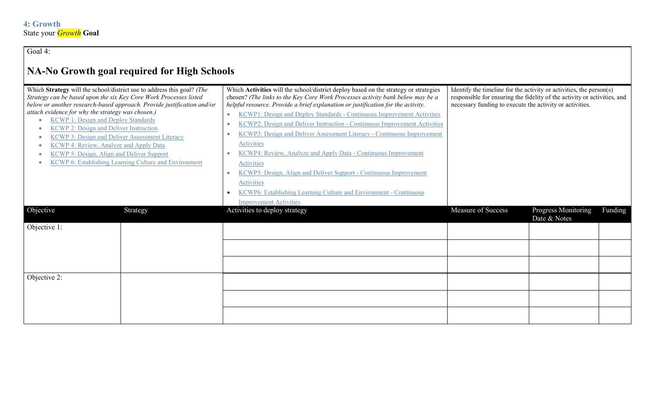Goal 4:

# **NA-No Growth goal required for High Schools**

| Which Strategy will the school/district use to address this goal? (The                                 |                                                                        | Which Activities will the school/district deploy based on the strategy or strategies | Identify the timeline for the activity or activities, the person(s)                                                                  |                     |         |
|--------------------------------------------------------------------------------------------------------|------------------------------------------------------------------------|--------------------------------------------------------------------------------------|--------------------------------------------------------------------------------------------------------------------------------------|---------------------|---------|
| Strategy can be based upon the six Key Core Work Processes listed                                      |                                                                        | chosen? (The links to the Key Core Work Processes activity bank below may be a       | responsible for ensuring the fidelity of the activity or activities, and<br>necessary funding to execute the activity or activities. |                     |         |
| attach evidence for why the strategy was chosen.)                                                      | below or another research-based approach. Provide justification and/or | helpful resource. Provide a brief explanation or justification for the activity.     |                                                                                                                                      |                     |         |
| <b>KCWP 1: Design and Deploy Standards</b>                                                             |                                                                        | KCWP1: Design and Deploy Standards - Continuous Improvement Activities<br>$\bullet$  |                                                                                                                                      |                     |         |
|                                                                                                        |                                                                        | KCWP2: Design and Deliver Instruction - Continuous Improvement Activities            |                                                                                                                                      |                     |         |
| <b>KCWP 2: Design and Deliver Instruction</b><br><b>KCWP 3: Design and Deliver Assessment Literacy</b> |                                                                        | KCWP3: Design and Deliver Assessment Literacy - Continuous Improvement               |                                                                                                                                      |                     |         |
| KCWP 4: Review, Analyze and Apply Data                                                                 |                                                                        | Activities                                                                           |                                                                                                                                      |                     |         |
| <b>KCWP 5: Design, Align and Deliver Support</b>                                                       |                                                                        | KCWP4: Review, Analyze and Apply Data - Continuous Improvement                       |                                                                                                                                      |                     |         |
|                                                                                                        | <b>KCWP 6: Establishing Learning Culture and Environment</b>           |                                                                                      |                                                                                                                                      |                     |         |
|                                                                                                        |                                                                        | <b>Activities</b>                                                                    |                                                                                                                                      |                     |         |
|                                                                                                        |                                                                        | KCWP5: Design, Align and Deliver Support - Continuous Improvement                    |                                                                                                                                      |                     |         |
|                                                                                                        |                                                                        | Activities                                                                           |                                                                                                                                      |                     |         |
|                                                                                                        |                                                                        | KCWP6: Establishing Learning Culture and Environment - Continuous                    |                                                                                                                                      |                     |         |
|                                                                                                        |                                                                        | <b>Improvement Activities</b>                                                        |                                                                                                                                      |                     |         |
| Objective                                                                                              | Strategy                                                               | Activities to deploy strategy                                                        | <b>Measure of Success</b>                                                                                                            | Progress Monitoring | Funding |
|                                                                                                        |                                                                        |                                                                                      |                                                                                                                                      | Date & Notes        |         |
| Objective 1:                                                                                           |                                                                        |                                                                                      |                                                                                                                                      |                     |         |
|                                                                                                        |                                                                        |                                                                                      |                                                                                                                                      |                     |         |
|                                                                                                        |                                                                        |                                                                                      |                                                                                                                                      |                     |         |
|                                                                                                        |                                                                        |                                                                                      |                                                                                                                                      |                     |         |
|                                                                                                        |                                                                        |                                                                                      |                                                                                                                                      |                     |         |
|                                                                                                        |                                                                        |                                                                                      |                                                                                                                                      |                     |         |
| Objective 2:                                                                                           |                                                                        |                                                                                      |                                                                                                                                      |                     |         |
|                                                                                                        |                                                                        |                                                                                      |                                                                                                                                      |                     |         |
|                                                                                                        |                                                                        |                                                                                      |                                                                                                                                      |                     |         |
|                                                                                                        |                                                                        |                                                                                      |                                                                                                                                      |                     |         |
|                                                                                                        |                                                                        |                                                                                      |                                                                                                                                      |                     |         |
|                                                                                                        |                                                                        |                                                                                      |                                                                                                                                      |                     |         |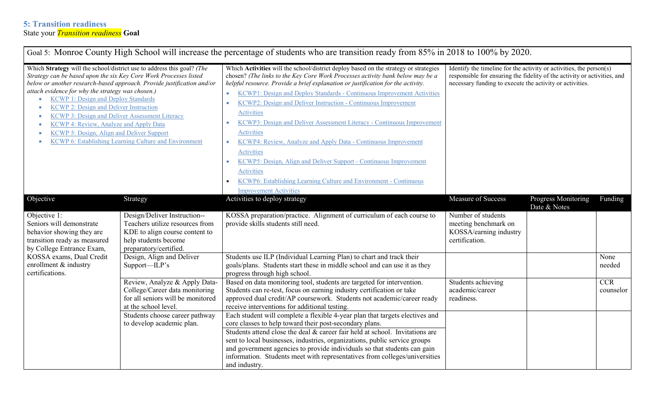| Goal 5: Monroe County High School will increase the percentage of students who are transition ready from 85% in 2018 to 100% by 2020.                                                                                                                                                                                                                                                                                                                                                                                                                                                                                   |                                                                                                                                                     |                                                                                                                                                                                                                                                                                                                                                                                                                                                                                                                                                                                                                                                                                                                                                                                                                                                          |                                                                                                                                                                                                             |                                     |                         |  |  |
|-------------------------------------------------------------------------------------------------------------------------------------------------------------------------------------------------------------------------------------------------------------------------------------------------------------------------------------------------------------------------------------------------------------------------------------------------------------------------------------------------------------------------------------------------------------------------------------------------------------------------|-----------------------------------------------------------------------------------------------------------------------------------------------------|----------------------------------------------------------------------------------------------------------------------------------------------------------------------------------------------------------------------------------------------------------------------------------------------------------------------------------------------------------------------------------------------------------------------------------------------------------------------------------------------------------------------------------------------------------------------------------------------------------------------------------------------------------------------------------------------------------------------------------------------------------------------------------------------------------------------------------------------------------|-------------------------------------------------------------------------------------------------------------------------------------------------------------------------------------------------------------|-------------------------------------|-------------------------|--|--|
| Which Strategy will the school/district use to address this goal? (The<br>Strategy can be based upon the six Key Core Work Processes listed<br>below or another research-based approach. Provide justification and/or<br>attach evidence for why the strategy was chosen.)<br><b>KCWP 1: Design and Deploy Standards</b><br><b>KCWP 2: Design and Deliver Instruction</b><br>$\bullet$<br><b>KCWP 3: Design and Deliver Assessment Literacy</b><br>۰<br>KCWP 4: Review, Analyze and Apply Data<br>۰<br><b>KCWP 5: Design, Align and Deliver Support</b><br><b>KCWP 6: Establishing Learning Culture and Environment</b> |                                                                                                                                                     | Which Activities will the school/district deploy based on the strategy or strategies<br>chosen? (The links to the Key Core Work Processes activity bank below may be a<br>helpful resource. Provide a brief explanation or justification for the activity.<br>KCWP1: Design and Deploy Standards - Continuous Improvement Activities<br>$\bullet$<br>KCWP2: Design and Deliver Instruction - Continuous Improvement<br>$\bullet$<br><b>Activities</b><br>KCWP3: Design and Deliver Assessment Literacy - Continuous Improvement<br><b>Activities</b><br>KCWP4: Review, Analyze and Apply Data - Continuous Improvement<br>$\bullet$<br><b>Activities</b><br>KCWP5: Design, Align and Deliver Support - Continuous Improvement<br><b>Activities</b><br>KCWP6: Establishing Learning Culture and Environment - Continuous<br><b>Improvement Activities</b> | Identify the timeline for the activity or activities, the person(s)<br>responsible for ensuring the fidelity of the activity or activities, and<br>necessary funding to execute the activity or activities. |                                     |                         |  |  |
| Objective                                                                                                                                                                                                                                                                                                                                                                                                                                                                                                                                                                                                               | Strategy                                                                                                                                            | Activities to deploy strategy                                                                                                                                                                                                                                                                                                                                                                                                                                                                                                                                                                                                                                                                                                                                                                                                                            | Measure of Success                                                                                                                                                                                          | Progress Monitoring<br>Date & Notes | Funding                 |  |  |
| Objective 1:<br>Seniors will demonstrate<br>behavior showing they are<br>transition ready as measured<br>by College Entrance Exam,                                                                                                                                                                                                                                                                                                                                                                                                                                                                                      | Design/Deliver Instruction--<br>Teachers utilize resources from<br>KDE to align course content to<br>help students become<br>preparatory/certified. | KOSSA preparation/practice. Alignment of curriculum of each course to<br>provide skills students still need.                                                                                                                                                                                                                                                                                                                                                                                                                                                                                                                                                                                                                                                                                                                                             | Number of students<br>meeting benchmark on<br>KOSSA/earning industry<br>certification.                                                                                                                      |                                     |                         |  |  |
| KOSSA exams, Dual Credit<br>enrollment & industry<br>certifications.                                                                                                                                                                                                                                                                                                                                                                                                                                                                                                                                                    | Design, Align and Deliver<br>Support—ILP's                                                                                                          | Students use ILP (Individual Learning Plan) to chart and track their<br>goals/plans. Students start these in middle school and can use it as they<br>progress through high school.                                                                                                                                                                                                                                                                                                                                                                                                                                                                                                                                                                                                                                                                       |                                                                                                                                                                                                             |                                     | None<br>needed          |  |  |
|                                                                                                                                                                                                                                                                                                                                                                                                                                                                                                                                                                                                                         | Review, Analyze & Apply Data-<br>College/Career data monitoring<br>for all seniors will be monitored<br>at the school level.                        | Based on data monitoring tool, students are targeted for intervention.<br>Students can re-test, focus on earning industry certification or take<br>approved dual credit/AP coursework. Students not academic/career ready<br>receive interventions for additional testing.                                                                                                                                                                                                                                                                                                                                                                                                                                                                                                                                                                               | Students achieving<br>academic/career<br>readiness.                                                                                                                                                         |                                     | <b>CCR</b><br>counselor |  |  |
|                                                                                                                                                                                                                                                                                                                                                                                                                                                                                                                                                                                                                         | Students choose career pathway<br>to develop academic plan.                                                                                         | Each student will complete a flexible 4-year plan that targets electives and<br>core classes to help toward their post-secondary plans.<br>Students attend close the deal & career fair held at school. Invitations are<br>sent to local businesses, industries, organizations, public service groups<br>and government agencies to provide individuals so that students can gain<br>information. Students meet with representatives from colleges/universities<br>and industry.                                                                                                                                                                                                                                                                                                                                                                         |                                                                                                                                                                                                             |                                     |                         |  |  |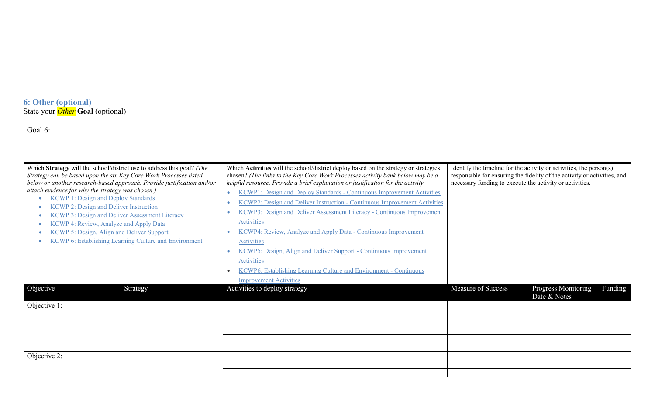#### **6: Other (optional)** State your *Other* **Goal** (optional)

| Goal 6:                                                                                                                                                                                                                                                                                                                                                                                                                                                                                                                                                                                          |          |                                                                                                                                                                                                                                                                                                                                                                                                                                                                                                                                                                                                                                                                                                                                                                                                        |                                                                                                                                                                                                             |                                                |
|--------------------------------------------------------------------------------------------------------------------------------------------------------------------------------------------------------------------------------------------------------------------------------------------------------------------------------------------------------------------------------------------------------------------------------------------------------------------------------------------------------------------------------------------------------------------------------------------------|----------|--------------------------------------------------------------------------------------------------------------------------------------------------------------------------------------------------------------------------------------------------------------------------------------------------------------------------------------------------------------------------------------------------------------------------------------------------------------------------------------------------------------------------------------------------------------------------------------------------------------------------------------------------------------------------------------------------------------------------------------------------------------------------------------------------------|-------------------------------------------------------------------------------------------------------------------------------------------------------------------------------------------------------------|------------------------------------------------|
|                                                                                                                                                                                                                                                                                                                                                                                                                                                                                                                                                                                                  |          |                                                                                                                                                                                                                                                                                                                                                                                                                                                                                                                                                                                                                                                                                                                                                                                                        |                                                                                                                                                                                                             |                                                |
| Which Strategy will the school/district use to address this goal? (The<br>Strategy can be based upon the six Key Core Work Processes listed<br>below or another research-based approach. Provide justification and/or<br>attach evidence for why the strategy was chosen.)<br><b>KCWP 1: Design and Deploy Standards</b><br><b>KCWP 2: Design and Deliver Instruction</b><br><b>KCWP 3: Design and Deliver Assessment Literacy</b><br><b>KCWP 4: Review, Analyze and Apply Data</b><br><b>KCWP 5: Design, Align and Deliver Support</b><br>KCWP 6: Establishing Learning Culture and Environment |          | Which Activities will the school/district deploy based on the strategy or strategies<br>chosen? (The links to the Key Core Work Processes activity bank below may be a<br>helpful resource. Provide a brief explanation or justification for the activity.<br>KCWP1: Design and Deploy Standards - Continuous Improvement Activities<br>$\bullet$<br>KCWP2: Design and Deliver Instruction - Continuous Improvement Activities<br>KCWP3: Design and Deliver Assessment Literacy - Continuous Improvement<br>Activities<br>KCWP4: Review, Analyze and Apply Data - Continuous Improvement<br>Activities<br>KCWP5: Design, Align and Deliver Support - Continuous Improvement<br>Activities<br><b>KCWP6: Establishing Learning Culture and Environment - Continuous</b><br><b>Improvement Activities</b> | Identify the timeline for the activity or activities, the person(s)<br>responsible for ensuring the fidelity of the activity or activities, and<br>necessary funding to execute the activity or activities. |                                                |
| Objective                                                                                                                                                                                                                                                                                                                                                                                                                                                                                                                                                                                        | Strategy | Activities to deploy strategy                                                                                                                                                                                                                                                                                                                                                                                                                                                                                                                                                                                                                                                                                                                                                                          | Measure of Success                                                                                                                                                                                          | Progress Monitoring<br>Funding<br>Date & Notes |
| Objective 1:<br>Objective 2:                                                                                                                                                                                                                                                                                                                                                                                                                                                                                                                                                                     |          |                                                                                                                                                                                                                                                                                                                                                                                                                                                                                                                                                                                                                                                                                                                                                                                                        |                                                                                                                                                                                                             |                                                |